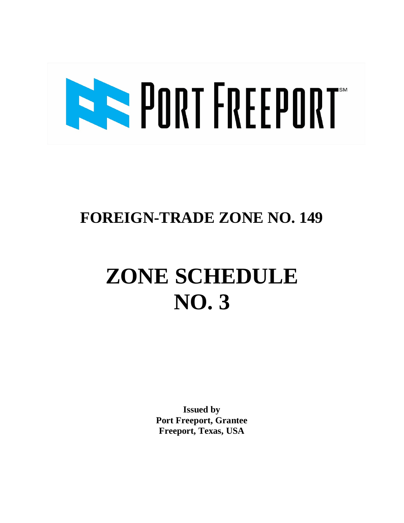# **BREEFINEEPORT**

### **FOREIGN-TRADE ZONE NO. 149**

## **ZONE SCHEDULE NO. 3**

**Issued by Port Freeport, Grantee Freeport, Texas, USA**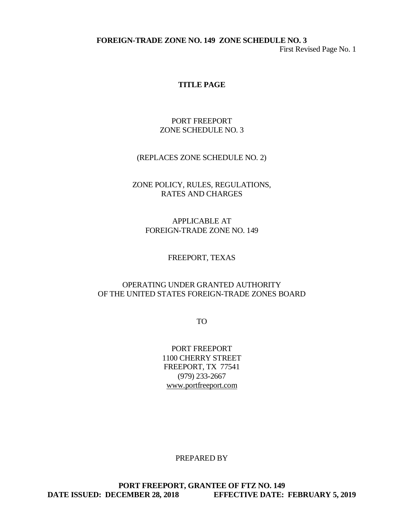First Revised Page No. 1

#### **TITLE PAGE**

#### PORT FREEPORT ZONE SCHEDULE NO. 3

#### (REPLACES ZONE SCHEDULE NO. 2)

#### ZONE POLICY, RULES, REGULATIONS, RATES AND CHARGES

APPLICABLE AT FOREIGN-TRADE ZONE NO. 149

FREEPORT, TEXAS

#### OPERATING UNDER GRANTED AUTHORITY OF THE UNITED STATES FOREIGN-TRADE ZONES BOARD

TO

PORT FREEPORT 1100 CHERRY STREET FREEPORT, TX 77541 (979) 233-2667 www.portfreeport.com

PREPARED BY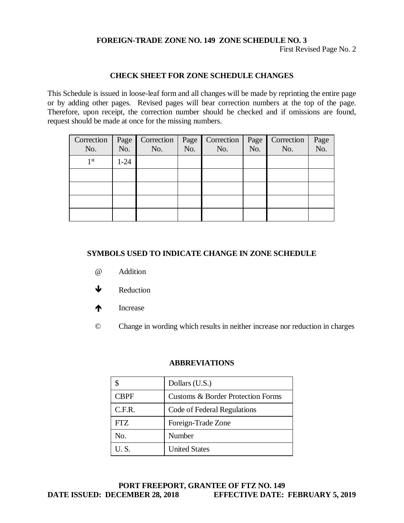First Revised Page No. 2

#### **CHECK SHEET FOR ZONE SCHEDULE CHANGES**

This Schedule is issued in loose-leaf form and all changes will be made by reprinting the entire page or by adding other pages. Revised pages will bear correction numbers at the top of the page. Therefore, upon receipt, the correction number should be checked and if omissions are found, request should be made at once for the missing numbers.

| Correction      |          | Page   Correction   Page |     | Correction | Page V | Correction | Page<br>No. |
|-----------------|----------|--------------------------|-----|------------|--------|------------|-------------|
| No.             | No.      | No.                      | No. | No.        | No.    | No.        |             |
| 1 <sup>st</sup> | $1 - 24$ |                          |     |            |        |            |             |
|                 |          |                          |     |            |        |            |             |
|                 |          |                          |     |            |        |            |             |
|                 |          |                          |     |            |        |            |             |
|                 |          |                          |     |            |        |            |             |

#### **SYMBOLS USED TO INDICATE CHANGE IN ZONE SCHEDULE**

- @ Addition
- $\bigvee$  Reduction
- **The Increase**
- © Change in wording which results in neither increase nor reduction in charges

#### **ABBREVIATIONS**

|             | Dollars (U.S.)                               |
|-------------|----------------------------------------------|
| <b>CBPF</b> | <b>Customs &amp; Border Protection Forms</b> |
| C.F.R.      | Code of Federal Regulations                  |
| FTZ.        | Foreign-Trade Zone                           |
| No.         | Number                                       |
| U.S.        | <b>United States</b>                         |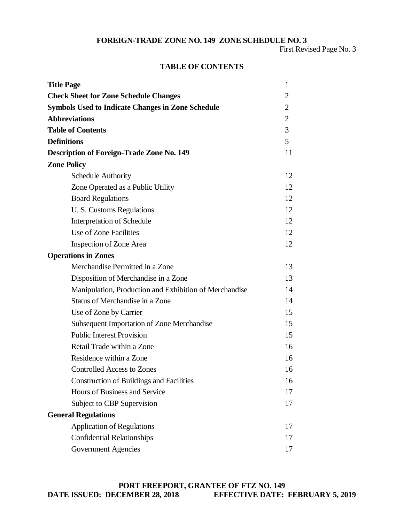First Revised Page No. 3

#### **TABLE OF CONTENTS**

| <b>Title Page</b>                                        | 1              |
|----------------------------------------------------------|----------------|
| <b>Check Sheet for Zone Schedule Changes</b>             |                |
| <b>Symbols Used to Indicate Changes in Zone Schedule</b> |                |
| <b>Abbreviations</b>                                     | $\overline{2}$ |
| <b>Table of Contents</b>                                 | 3              |
| <b>Definitions</b>                                       | 5              |
| <b>Description of Foreign-Trade Zone No. 149</b>         | 11             |
| <b>Zone Policy</b>                                       |                |
| <b>Schedule Authority</b>                                | 12             |
| Zone Operated as a Public Utility                        | 12             |
| <b>Board Regulations</b>                                 | 12             |
| U. S. Customs Regulations                                | 12             |
| Interpretation of Schedule                               | 12             |
| Use of Zone Facilities                                   | 12             |
| <b>Inspection of Zone Area</b>                           | 12             |
| <b>Operations in Zones</b>                               |                |
| Merchandise Permitted in a Zone                          | 13             |
| Disposition of Merchandise in a Zone                     | 13             |
| Manipulation, Production and Exhibition of Merchandise   | 14             |
| Status of Merchandise in a Zone                          | 14             |
| Use of Zone by Carrier                                   | 15             |
| <b>Subsequent Importation of Zone Merchandise</b>        | 15             |
| <b>Public Interest Provision</b>                         | 15             |
| Retail Trade within a Zone                               | 16             |
| Residence within a Zone                                  | 16             |
| <b>Controlled Access to Zones</b>                        | 16             |
| <b>Construction of Buildings and Facilities</b>          | 16             |
| Hours of Business and Service                            | 17             |
| Subject to CBP Supervision                               | 17             |
| <b>General Regulations</b>                               |                |
| <b>Application of Regulations</b>                        | 17             |
| <b>Confidential Relationships</b>                        | 17             |
| <b>Government Agencies</b>                               | 17             |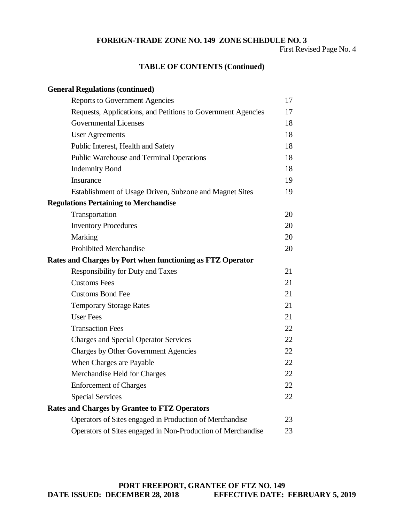First Revised Page No. 4

#### **TABLE OF CONTENTS (Continued)**

| <b>General Regulations (continued)</b>                       |    |
|--------------------------------------------------------------|----|
| <b>Reports to Government Agencies</b>                        | 17 |
| Requests, Applications, and Petitions to Government Agencies | 17 |
| <b>Governmental Licenses</b>                                 | 18 |
| <b>User Agreements</b>                                       | 18 |
| Public Interest, Health and Safety                           | 18 |
| Public Warehouse and Terminal Operations                     | 18 |
| <b>Indemnity Bond</b>                                        | 18 |
| Insurance                                                    | 19 |
| Establishment of Usage Driven, Subzone and Magnet Sites      | 19 |
| <b>Regulations Pertaining to Merchandise</b>                 |    |
| Transportation                                               | 20 |
| <b>Inventory Procedures</b>                                  | 20 |
| Marking                                                      | 20 |
| <b>Prohibited Merchandise</b>                                | 20 |
| Rates and Charges by Port when functioning as FTZ Operator   |    |
| Responsibility for Duty and Taxes                            | 21 |
| <b>Customs Fees</b>                                          | 21 |
| <b>Customs Bond Fee</b>                                      | 21 |
| <b>Temporary Storage Rates</b>                               | 21 |
| <b>User Fees</b>                                             | 21 |
| <b>Transaction Fees</b>                                      | 22 |
| <b>Charges and Special Operator Services</b>                 | 22 |
| Charges by Other Government Agencies                         | 22 |
| When Charges are Payable                                     | 22 |
| Merchandise Held for Charges                                 | 22 |
| <b>Enforcement of Charges</b>                                | 22 |
| <b>Special Services</b>                                      | 22 |
| <b>Rates and Charges by Grantee to FTZ Operators</b>         |    |
| Operators of Sites engaged in Production of Merchandise      | 23 |
| Operators of Sites engaged in Non-Production of Merchandise  | 23 |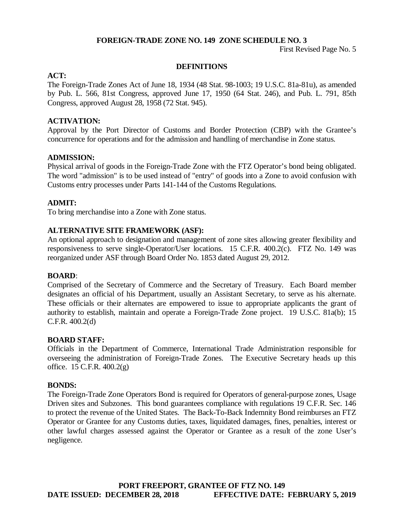First Revised Page No. 5

#### **DEFINITIONS**

#### **ACT:**

The Foreign-Trade Zones Act of June 18, 1934 (48 Stat. 98-1003; 19 U.S.C. 81a-81u), as amended by Pub. L. 566, 81st Congress, approved June 17, 1950 (64 Stat. 246), and Pub. L. 791, 85th Congress, approved August 28, 1958 (72 Stat. 945).

#### **ACTIVATION:**

Approval by the Port Director of Customs and Border Protection (CBP) with the Grantee's concurrence for operations and for the admission and handling of merchandise in Zone status.

#### **ADMISSION:**

Physical arrival of goods in the Foreign-Trade Zone with the FTZ Operator's bond being obligated. The word "admission" is to be used instead of "entry" of goods into a Zone to avoid confusion with Customs entry processes under Parts 141-144 of the Customs Regulations.

#### **ADMIT:**

To bring merchandise into a Zone with Zone status.

#### **ALTERNATIVE SITE FRAMEWORK (ASF):**

An optional approach to designation and management of zone sites allowing greater flexibility and responsiveness to serve single-Operator/User locations. 15 C.F.R. 400.2(c). FTZ No. 149 was reorganized under ASF through Board Order No. 1853 dated August 29, 2012.

#### **BOARD**:

Comprised of the Secretary of Commerce and the Secretary of Treasury. Each Board member designates an official of his Department, usually an Assistant Secretary, to serve as his alternate. These officials or their alternates are empowered to issue to appropriate applicants the grant of authority to establish, maintain and operate a Foreign-Trade Zone project. 19 U.S.C. 81a(b); 15 C.F.R. 400.2(d)

#### **BOARD STAFF:**

Officials in the Department of Commerce, International Trade Administration responsible for overseeing the administration of Foreign-Trade Zones. The Executive Secretary heads up this office. 15 C.F.R. 400.2(g)

#### **BONDS:**

The Foreign-Trade Zone Operators Bond is required for Operators of general-purpose zones, Usage Driven sites and Subzones. This bond guarantees compliance with regulations 19 C.F.R. Sec. 146 to protect the revenue of the United States. The Back-To-Back Indemnity Bond reimburses an FTZ Operator or Grantee for any Customs duties, taxes, liquidated damages, fines, penalties, interest or other lawful charges assessed against the Operator or Grantee as a result of the zone User's negligence.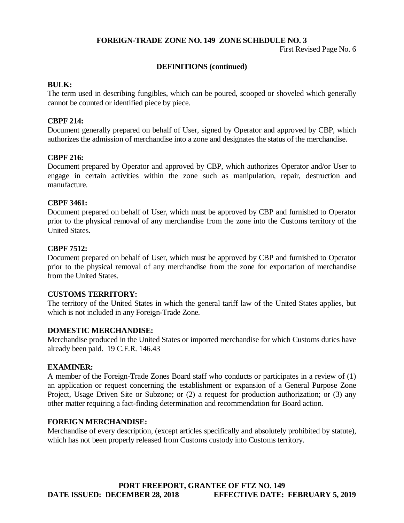First Revised Page No. 6

#### **DEFINITIONS (continued)**

#### **BULK:**

The term used in describing fungibles, which can be poured, scooped or shoveled which generally cannot be counted or identified piece by piece.

#### **CBPF 214:**

Document generally prepared on behalf of User, signed by Operator and approved by CBP, which authorizes the admission of merchandise into a zone and designates the status of the merchandise.

#### **CBPF 216:**

Document prepared by Operator and approved by CBP, which authorizes Operator and/or User to engage in certain activities within the zone such as manipulation, repair, destruction and manufacture.

#### **CBPF 3461:**

Document prepared on behalf of User, which must be approved by CBP and furnished to Operator prior to the physical removal of any merchandise from the zone into the Customs territory of the United States.

#### **CBPF 7512:**

Document prepared on behalf of User, which must be approved by CBP and furnished to Operator prior to the physical removal of any merchandise from the zone for exportation of merchandise from the United States.

#### **CUSTOMS TERRITORY:**

The territory of the United States in which the general tariff law of the United States applies, but which is not included in any Foreign-Trade Zone.

#### **DOMESTIC MERCHANDISE:**

Merchandise produced in the United States or imported merchandise for which Customs duties have already been paid. 19 C.F.R. 146.43

#### **EXAMINER:**

A member of the Foreign-Trade Zones Board staff who conducts or participates in a review of (1) an application or request concerning the establishment or expansion of a General Purpose Zone Project, Usage Driven Site or Subzone; or (2) a request for production authorization; or (3) any other matter requiring a fact-finding determination and recommendation for Board action.

#### **FOREIGN MERCHANDISE:**

Merchandise of every description, (except articles specifically and absolutely prohibited by statute), which has not been properly released from Customs custody into Customs territory.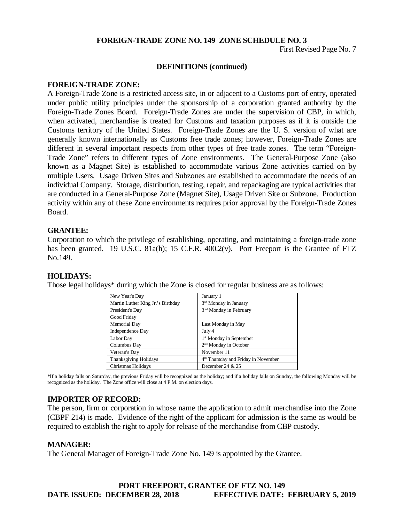First Revised Page No. 7

#### **DEFINITIONS (continued)**

#### **FOREIGN-TRADE ZONE:**

A Foreign-Trade Zone is a restricted access site, in or adjacent to a Customs port of entry, operated under public utility principles under the sponsorship of a corporation granted authority by the Foreign-Trade Zones Board. Foreign-Trade Zones are under the supervision of CBP, in which, when activated, merchandise is treated for Customs and taxation purposes as if it is outside the Customs territory of the United States. Foreign-Trade Zones are the U. S. version of what are generally known internationally as Customs free trade zones; however, Foreign-Trade Zones are different in several important respects from other types of free trade zones. The term "Foreign-Trade Zone" refers to different types of Zone environments. The General-Purpose Zone (also known as a Magnet Site) is established to accommodate various Zone activities carried on by multiple Users. Usage Driven Sites and Subzones are established to accommodate the needs of an individual Company. Storage, distribution, testing, repair, and repackaging are typical activities that are conducted in a General-Purpose Zone (Magnet Site), Usage Driven Site or Subzone. Production activity within any of these Zone environments requires prior approval by the Foreign-Trade Zones Board.

#### **GRANTEE:**

Corporation to which the privilege of establishing, operating, and maintaining a foreign-trade zone has been granted. 19 U.S.C. 81a(h); 15 C.F.R. 400.2(v). Port Freeport is the Grantee of FTZ No.149.

#### **HOLIDAYS:**

Those legal holidays\* during which the Zone is closed for regular business are as follows:

| New Year's Day                    | January 1                                       |
|-----------------------------------|-------------------------------------------------|
| Martin Luther King Jr.'s Birthday | 3 <sup>rd</sup> Monday in January               |
| President's Day                   | 3 <sup>rd</sup> Monday in February              |
| Good Friday                       |                                                 |
| Memorial Day                      | Last Monday in May                              |
| <b>Independence Day</b>           | July 4                                          |
| Labor Day                         | 1 <sup>st</sup> Monday in September             |
| Columbus Day                      | 2 <sup>nd</sup> Monday in October               |
| Veteran's Day                     | November 11                                     |
| <b>Thanksgiving Holidays</b>      | 4 <sup>th</sup> Thursday and Friday in November |
| Christmas Holidays                | December 24 $&$ 25                              |

\*If a holiday falls on Saturday, the previous Friday will be recognized as the holiday; and if a holiday falls on Sunday, the following Monday will be recognized as the holiday. The Zone office will close at 4 P.M. on election days.

#### **IMPORTER OF RECORD:**

The person, firm or corporation in whose name the application to admit merchandise into the Zone (CBPF 214) is made. Evidence of the right of the applicant for admission is the same as would be required to establish the right to apply for release of the merchandise from CBP custody.

#### **MANAGER:**

The General Manager of Foreign-Trade Zone No. 149 is appointed by the Grantee.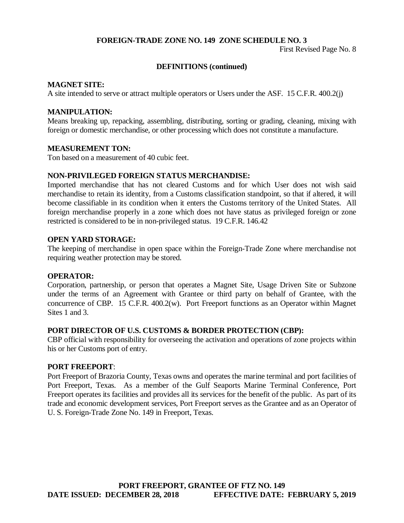First Revised Page No. 8

#### **DEFINITIONS (continued)**

#### **MAGNET SITE:**

A site intended to serve or attract multiple operators or Users under the ASF. 15 C.F.R. 400.2(j)

#### **MANIPULATION:**

Means breaking up, repacking, assembling, distributing, sorting or grading, cleaning, mixing with foreign or domestic merchandise, or other processing which does not constitute a manufacture.

#### **MEASUREMENT TON:**

Ton based on a measurement of 40 cubic feet.

#### **NON-PRIVILEGED FOREIGN STATUS MERCHANDISE:**

Imported merchandise that has not cleared Customs and for which User does not wish said merchandise to retain its identity, from a Customs classification standpoint, so that if altered, it will become classifiable in its condition when it enters the Customs territory of the United States. All foreign merchandise properly in a zone which does not have status as privileged foreign or zone restricted is considered to be in non-privileged status. 19 C.F.R. 146.42

#### **OPEN YARD STORAGE:**

The keeping of merchandise in open space within the Foreign-Trade Zone where merchandise not requiring weather protection may be stored.

#### **OPERATOR:**

Corporation, partnership, or person that operates a Magnet Site, Usage Driven Site or Subzone under the terms of an Agreement with Grantee or third party on behalf of Grantee, with the concurrence of CBP. 15 C.F.R. 400.2(w). Port Freeport functions as an Operator within Magnet Sites 1 and 3.

#### **PORT DIRECTOR OF U.S. CUSTOMS & BORDER PROTECTION (CBP):**

CBP official with responsibility for overseeing the activation and operations of zone projects within his or her Customs port of entry.

#### **PORT FREEPORT**:

Port Freeport of Brazoria County, Texas owns and operates the marine terminal and port facilities of Port Freeport, Texas. As a member of the Gulf Seaports Marine Terminal Conference, Port Freeport operates its facilities and provides all its services for the benefit of the public. As part of its trade and economic development services, Port Freeport serves as the Grantee and as an Operator of U. S. Foreign-Trade Zone No. 149 in Freeport, Texas.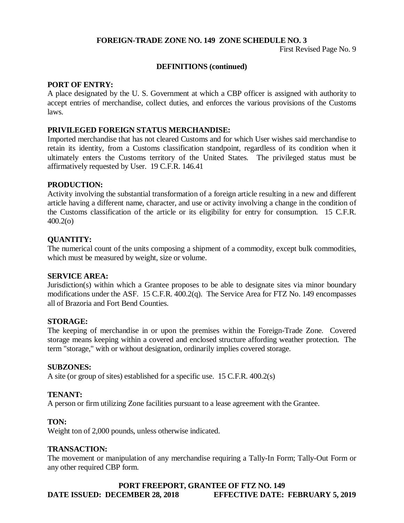First Revised Page No. 9

#### **DEFINITIONS (continued)**

#### **PORT OF ENTRY:**

A place designated by the U. S. Government at which a CBP officer is assigned with authority to accept entries of merchandise, collect duties, and enforces the various provisions of the Customs laws.

#### **PRIVILEGED FOREIGN STATUS MERCHANDISE:**

Imported merchandise that has not cleared Customs and for which User wishes said merchandise to retain its identity, from a Customs classification standpoint, regardless of its condition when it ultimately enters the Customs territory of the United States. The privileged status must be affirmatively requested by User. 19 C.F.R. 146.41

#### **PRODUCTION:**

Activity involving the substantial transformation of a foreign article resulting in a new and different article having a different name, character, and use or activity involving a change in the condition of the Customs classification of the article or its eligibility for entry for consumption. 15 C.F.R. 400.2(o)

#### **QUANTITY:**

The numerical count of the units composing a shipment of a commodity, except bulk commodities, which must be measured by weight, size or volume.

#### **SERVICE AREA:**

Jurisdiction(s) within which a Grantee proposes to be able to designate sites via minor boundary modifications under the ASF. 15 C.F.R. 400.2(q). The Service Area for FTZ No. 149 encompasses all of Brazoria and Fort Bend Counties.

#### **STORAGE:**

The keeping of merchandise in or upon the premises within the Foreign-Trade Zone. Covered storage means keeping within a covered and enclosed structure affording weather protection. The term "storage," with or without designation, ordinarily implies covered storage.

#### **SUBZONES:**

A site (or group of sites) established for a specific use. 15 C.F.R. 400.2(s)

#### **TENANT:**

A person or firm utilizing Zone facilities pursuant to a lease agreement with the Grantee.

#### **TON:**

Weight ton of 2,000 pounds, unless otherwise indicated.

#### **TRANSACTION:**

The movement or manipulation of any merchandise requiring a Tally-In Form; Tally-Out Form or any other required CBP form.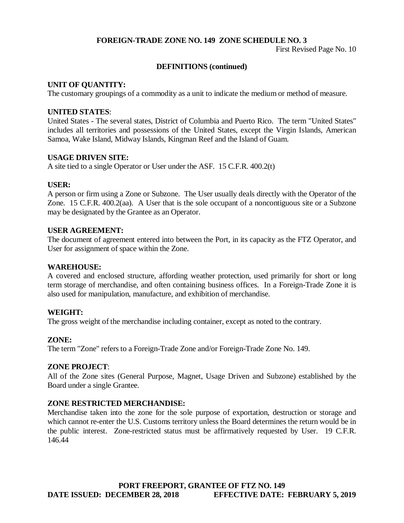First Revised Page No. 10

#### **DEFINITIONS (continued)**

#### **UNIT OF QUANTITY:**

The customary groupings of a commodity as a unit to indicate the medium or method of measure.

#### **UNITED STATES**:

United States - The several states, District of Columbia and Puerto Rico. The term "United States" includes all territories and possessions of the United States, except the Virgin Islands, American Samoa, Wake Island, Midway Islands, Kingman Reef and the Island of Guam.

#### **USAGE DRIVEN SITE:**

A site tied to a single Operator or User under the ASF. 15 C.F.R. 400.2(t)

#### **USER:**

A person or firm using a Zone or Subzone. The User usually deals directly with the Operator of the Zone. 15 C.F.R. 400.2(aa). A User that is the sole occupant of a noncontiguous site or a Subzone may be designated by the Grantee as an Operator.

#### **USER AGREEMENT:**

The document of agreement entered into between the Port, in its capacity as the FTZ Operator, and User for assignment of space within the Zone.

#### **WAREHOUSE:**

A covered and enclosed structure, affording weather protection, used primarily for short or long term storage of merchandise, and often containing business offices. In a Foreign-Trade Zone it is also used for manipulation, manufacture, and exhibition of merchandise.

#### **WEIGHT:**

The gross weight of the merchandise including container, except as noted to the contrary.

#### **ZONE:**

The term "Zone" refers to a Foreign-Trade Zone and/or Foreign-Trade Zone No. 149.

#### **ZONE PROJECT**:

All of the Zone sites (General Purpose, Magnet, Usage Driven and Subzone) established by the Board under a single Grantee.

#### **ZONE RESTRICTED MERCHANDISE:**

Merchandise taken into the zone for the sole purpose of exportation, destruction or storage and which cannot re-enter the U.S. Customs territory unless the Board determines the return would be in the public interest. Zone-restricted status must be affirmatively requested by User. 19 C.F.R. 146.44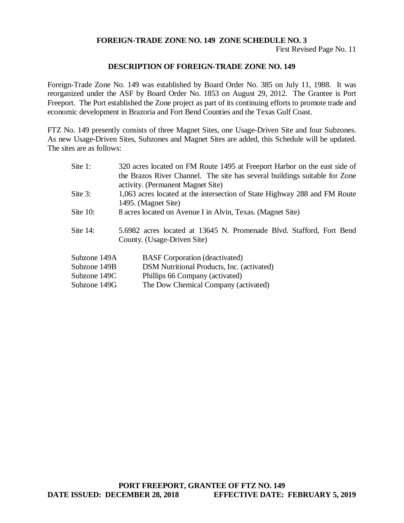First Revised Page No. 11

#### **DESCRIPTION OF FOREIGN-TRADE ZONE NO. 149**

Foreign-Trade Zone No. 149 was established by Board Order No. 385 on July 11, 1988. It was reorganized under the ASF by Board Order No. 1853 on August 29, 2012. The Grantee is Port Freeport. The Port established the Zone project as part of its continuing efforts to promote trade and economic development in Brazoria and Fort Bend Counties and the Texas Gulf Coast.

FTZ No. 149 presently consists of three Magnet Sites, one Usage-Driven Site and four Subzones. As new Usage-Driven Sites, Subzones and Magnet Sites are added, this Schedule will be updated. The sites are as follows:

| Site $1$ :   | 320 acres located on FM Route 1495 at Freeport Harbor on the east side of<br>the Brazos River Channel. The site has several buildings suitable for Zone<br>activity. (Permanent Magnet Site) |
|--------------|----------------------------------------------------------------------------------------------------------------------------------------------------------------------------------------------|
| Site 3:      | 1,063 acres located at the intersection of State Highway 288 and FM Route<br>1495. (Magnet Site)                                                                                             |
| Site $10$ :  | 8 acres located on Avenue I in Alvin, Texas. (Magnet Site)                                                                                                                                   |
| Site $14$ :  | 5.6982 acres located at 13645 N. Promenade Blvd. Stafford, Fort Bend<br>County. (Usage-Driven Site)                                                                                          |
| Subzone 149A | <b>BASF</b> Corporation (deactivated)                                                                                                                                                        |
| Subzone 149B | DSM Nutritional Products, Inc. (activated)                                                                                                                                                   |
| Subzone 149C | Phillips 66 Company (activated)                                                                                                                                                              |
| Subzone 149G | The Dow Chemical Company (activated)                                                                                                                                                         |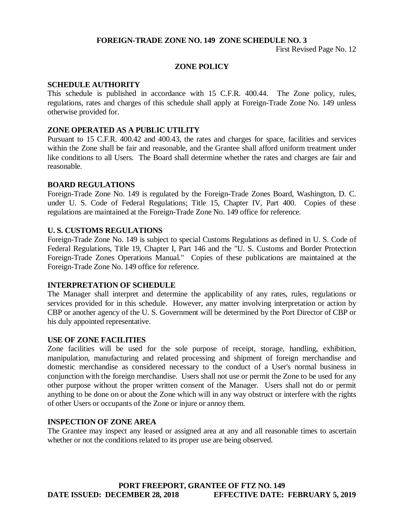First Revised Page No. 12

#### **ZONE POLICY**

#### **SCHEDULE AUTHORITY**

This schedule is published in accordance with 15 C.F.R. 400.44. The Zone policy, rules, regulations, rates and charges of this schedule shall apply at Foreign-Trade Zone No. 149 unless otherwise provided for.

#### **ZONE OPERATED AS A PUBLIC UTILITY**

Pursuant to 15 C.F.R. 400.42 and 400.43, the rates and charges for space, facilities and services within the Zone shall be fair and reasonable, and the Grantee shall afford uniform treatment under like conditions to all Users. The Board shall determine whether the rates and charges are fair and reasonable.

#### **BOARD REGULATIONS**

Foreign-Trade Zone No. 149 is regulated by the Foreign-Trade Zones Board, Washington, D. C. under U. S. Code of Federal Regulations; Title 15, Chapter IV, Part 400. Copies of these regulations are maintained at the Foreign-Trade Zone No. 149 office for reference.

#### **U. S. CUSTOMS REGULATIONS**

Foreign-Trade Zone No. 149 is subject to special Customs Regulations as defined in U. S. Code of Federal Regulations, Title 19, Chapter I, Part 146 and the "U. S. Customs and Border Protection Foreign-Trade Zones Operations Manual." Copies of these publications are maintained at the Foreign-Trade Zone No. 149 office for reference.

#### **INTERPRETATION OF SCHEDULE**

The Manager shall interpret and determine the applicability of any rates, rules, regulations or services provided for in this schedule. However, any matter involving interpretation or action by CBP or another agency of the U. S. Government will be determined by the Port Director of CBP or his duly appointed representative.

#### **USE OF ZONE FACILITIES**

Zone facilities will be used for the sole purpose of receipt, storage, handling, exhibition, manipulation, manufacturing and related processing and shipment of foreign merchandise and domestic merchandise as considered necessary to the conduct of a User's normal business in conjunction with the foreign merchandise. Users shall not use or permit the Zone to be used for any other purpose without the proper written consent of the Manager. Users shall not do or permit anything to be done on or about the Zone which will in any way obstruct or interfere with the rights of other Users or occupants of the Zone or injure or annoy them.

#### **INSPECTION OF ZONE AREA**

The Grantee may inspect any leased or assigned area at any and all reasonable times to ascertain whether or not the conditions related to its proper use are being observed.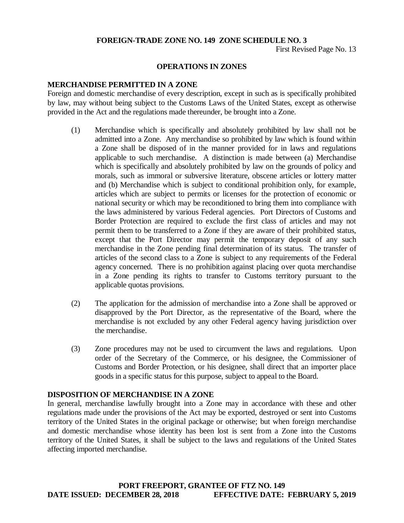First Revised Page No. 13

#### **OPERATIONS IN ZONES**

#### **MERCHANDISE PERMITTED IN A ZONE**

Foreign and domestic merchandise of every description, except in such as is specifically prohibited by law, may without being subject to the Customs Laws of the United States, except as otherwise provided in the Act and the regulations made thereunder, be brought into a Zone.

- (1) Merchandise which is specifically and absolutely prohibited by law shall not be admitted into a Zone. Any merchandise so prohibited by law which is found within a Zone shall be disposed of in the manner provided for in laws and regulations applicable to such merchandise. A distinction is made between (a) Merchandise which is specifically and absolutely prohibited by law on the grounds of policy and morals, such as immoral or subversive literature, obscene articles or lottery matter and (b) Merchandise which is subject to conditional prohibition only, for example, articles which are subject to permits or licenses for the protection of economic or national security or which may be reconditioned to bring them into compliance with the laws administered by various Federal agencies. Port Directors of Customs and Border Protection are required to exclude the first class of articles and may not permit them to be transferred to a Zone if they are aware of their prohibited status, except that the Port Director may permit the temporary deposit of any such merchandise in the Zone pending final determination of its status. The transfer of articles of the second class to a Zone is subject to any requirements of the Federal agency concerned. There is no prohibition against placing over quota merchandise in a Zone pending its rights to transfer to Customs territory pursuant to the applicable quotas provisions.
- (2) The application for the admission of merchandise into a Zone shall be approved or disapproved by the Port Director, as the representative of the Board, where the merchandise is not excluded by any other Federal agency having jurisdiction over the merchandise.
- (3) Zone procedures may not be used to circumvent the laws and regulations. Upon order of the Secretary of the Commerce, or his designee, the Commissioner of Customs and Border Protection, or his designee, shall direct that an importer place goods in a specific status for this purpose, subject to appeal to the Board.

#### **DISPOSITION OF MERCHANDISE IN A ZONE**

In general, merchandise lawfully brought into a Zone may in accordance with these and other regulations made under the provisions of the Act may be exported, destroyed or sent into Customs territory of the United States in the original package or otherwise; but when foreign merchandise and domestic merchandise whose identity has been lost is sent from a Zone into the Customs territory of the United States, it shall be subject to the laws and regulations of the United States affecting imported merchandise.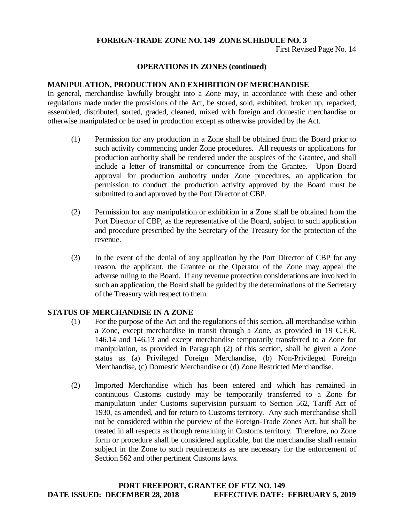First Revised Page No. 14

#### **OPERATIONS IN ZONES (continued)**

#### **MANIPULATION, PRODUCTION AND EXHIBITION OF MERCHANDISE**

In general, merchandise lawfully brought into a Zone may, in accordance with these and other regulations made under the provisions of the Act, be stored, sold, exhibited, broken up, repacked, assembled, distributed, sorted, graded, cleaned, mixed with foreign and domestic merchandise or otherwise manipulated or be used in production except as otherwise provided by the Act.

- (1) Permission for any production in a Zone shall be obtained from the Board prior to such activity commencing under Zone procedures. All requests or applications for production authority shall be rendered under the auspices of the Grantee, and shall include a letter of transmittal or concurrence from the Grantee. Upon Board approval for production authority under Zone procedures, an application for permission to conduct the production activity approved by the Board must be submitted to and approved by the Port Director of CBP.
- (2) Permission for any manipulation or exhibition in a Zone shall be obtained from the Port Director of CBP, as the representative of the Board, subject to such application and procedure prescribed by the Secretary of the Treasury for the protection of the revenue.
- (3) In the event of the denial of any application by the Port Director of CBP for any reason, the applicant, the Grantee or the Operator of the Zone may appeal the adverse ruling to the Board. If any revenue protection considerations are involved in such an application, the Board shall be guided by the determinations of the Secretary of the Treasury with respect to them.

#### **STATUS OF MERCHANDISE IN A ZONE**

- (1) For the purpose of the Act and the regulations of this section, all merchandise within a Zone, except merchandise in transit through a Zone, as provided in 19 C.F.R. 146.14 and 146.13 and except merchandise temporarily transferred to a Zone for manipulation, as provided in Paragraph (2) of this section, shall be given a Zone status as (a) Privileged Foreign Merchandise, (b) Non-Privileged Foreign Merchandise, (c) Domestic Merchandise or (d) Zone Restricted Merchandise.
- (2) Imported Merchandise which has been entered and which has remained in continuous Customs custody may be temporarily transferred to a Zone for manipulation under Customs supervision pursuant to Section 562, Tariff Act of 1930, as amended, and for return to Customs territory. Any such merchandise shall not be considered within the purview of the Foreign-Trade Zones Act, but shall be treated in all respects as though remaining in Customs territory. Therefore, no Zone form or procedure shall be considered applicable, but the merchandise shall remain subject in the Zone to such requirements as are necessary for the enforcement of Section 562 and other pertinent Customs laws.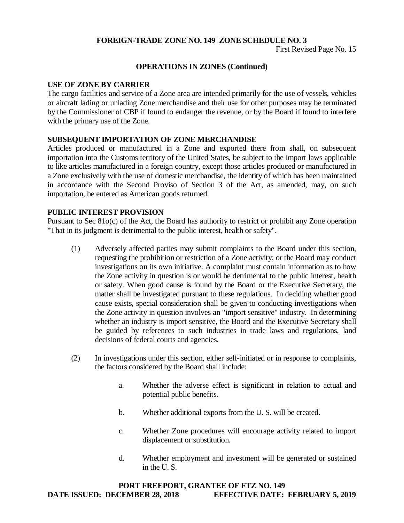First Revised Page No. 15

#### **OPERATIONS IN ZONES (Continued)**

#### **USE OF ZONE BY CARRIER**

The cargo facilities and service of a Zone area are intended primarily for the use of vessels, vehicles or aircraft lading or unlading Zone merchandise and their use for other purposes may be terminated by the Commissioner of CBP if found to endanger the revenue, or by the Board if found to interfere with the primary use of the Zone.

#### **SUBSEQUENT IMPORTATION OF ZONE MERCHANDISE**

Articles produced or manufactured in a Zone and exported there from shall, on subsequent importation into the Customs territory of the United States, be subject to the import laws applicable to like articles manufactured in a foreign country, except those articles produced or manufactured in a Zone exclusively with the use of domestic merchandise, the identity of which has been maintained in accordance with the Second Proviso of Section 3 of the Act, as amended, may, on such importation, be entered as American goods returned.

#### **PUBLIC INTEREST PROVISION**

Pursuant to Sec 81o(c) of the Act, the Board has authority to restrict or prohibit any Zone operation "That in its judgment is detrimental to the public interest, health or safety".

- (1) Adversely affected parties may submit complaints to the Board under this section, requesting the prohibition or restriction of a Zone activity; or the Board may conduct investigations on its own initiative. A complaint must contain information as to how the Zone activity in question is or would be detrimental to the public interest, health or safety. When good cause is found by the Board or the Executive Secretary, the matter shall be investigated pursuant to these regulations. In deciding whether good cause exists, special consideration shall be given to conducting investigations when the Zone activity in question involves an "import sensitive" industry. In determining whether an industry is import sensitive, the Board and the Executive Secretary shall be guided by references to such industries in trade laws and regulations, land decisions of federal courts and agencies.
- (2) In investigations under this section, either self-initiated or in response to complaints, the factors considered by the Board shall include:
	- a. Whether the adverse effect is significant in relation to actual and potential public benefits.
	- b. Whether additional exports from the U. S. will be created.
	- c. Whether Zone procedures will encourage activity related to import displacement or substitution.
	- d. Whether employment and investment will be generated or sustained in the U. S.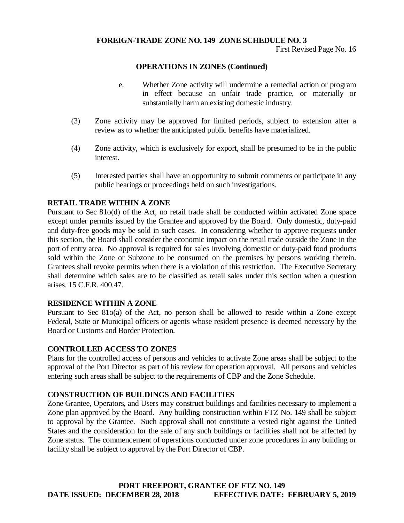First Revised Page No. 16

#### **OPERATIONS IN ZONES (Continued)**

- e. Whether Zone activity will undermine a remedial action or program in effect because an unfair trade practice, or materially or substantially harm an existing domestic industry.
- (3) Zone activity may be approved for limited periods, subject to extension after a review as to whether the anticipated public benefits have materialized.
- (4) Zone activity, which is exclusively for export, shall be presumed to be in the public interest.
- (5) Interested parties shall have an opportunity to submit comments or participate in any public hearings or proceedings held on such investigations.

#### **RETAIL TRADE WITHIN A ZONE**

Pursuant to Sec 81o(d) of the Act, no retail trade shall be conducted within activated Zone space except under permits issued by the Grantee and approved by the Board. Only domestic, duty-paid and duty-free goods may be sold in such cases. In considering whether to approve requests under this section, the Board shall consider the economic impact on the retail trade outside the Zone in the port of entry area. No approval is required for sales involving domestic or duty-paid food products sold within the Zone or Subzone to be consumed on the premises by persons working therein. Grantees shall revoke permits when there is a violation of this restriction. The Executive Secretary shall determine which sales are to be classified as retail sales under this section when a question arises. 15 C.F.R. 400.47.

#### **RESIDENCE WITHIN A ZONE**

Pursuant to Sec 81o(a) of the Act, no person shall be allowed to reside within a Zone except Federal, State or Municipal officers or agents whose resident presence is deemed necessary by the Board or Customs and Border Protection.

#### **CONTROLLED ACCESS TO ZONES**

Plans for the controlled access of persons and vehicles to activate Zone areas shall be subject to the approval of the Port Director as part of his review for operation approval. All persons and vehicles entering such areas shall be subject to the requirements of CBP and the Zone Schedule.

#### **CONSTRUCTION OF BUILDINGS AND FACILITIES**

Zone Grantee, Operators, and Users may construct buildings and facilities necessary to implement a Zone plan approved by the Board. Any building construction within FTZ No. 149 shall be subject to approval by the Grantee. Such approval shall not constitute a vested right against the United States and the consideration for the sale of any such buildings or facilities shall not be affected by Zone status. The commencement of operations conducted under zone procedures in any building or facility shall be subject to approval by the Port Director of CBP.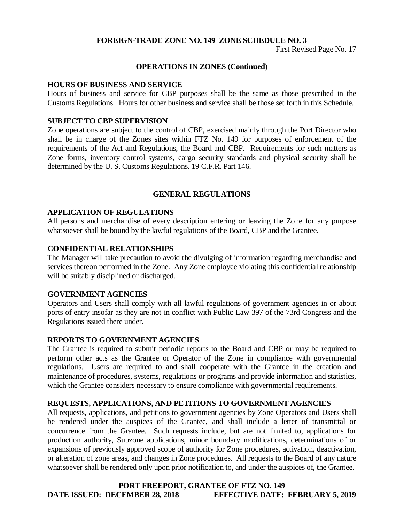First Revised Page No. 17

#### **OPERATIONS IN ZONES (Continued)**

#### **HOURS OF BUSINESS AND SERVICE**

Hours of business and service for CBP purposes shall be the same as those prescribed in the Customs Regulations. Hours for other business and service shall be those set forth in this Schedule.

#### **SUBJECT TO CBP SUPERVISION**

Zone operations are subject to the control of CBP, exercised mainly through the Port Director who shall be in charge of the Zones sites within FTZ No. 149 for purposes of enforcement of the requirements of the Act and Regulations, the Board and CBP. Requirements for such matters as Zone forms, inventory control systems, cargo security standards and physical security shall be determined by the U. S. Customs Regulations. 19 C.F.R. Part 146.

#### **GENERAL REGULATIONS**

#### **APPLICATION OF REGULATIONS**

All persons and merchandise of every description entering or leaving the Zone for any purpose whatsoever shall be bound by the lawful regulations of the Board, CBP and the Grantee.

#### **CONFIDENTIAL RELATIONSHIPS**

The Manager will take precaution to avoid the divulging of information regarding merchandise and services thereon performed in the Zone. Any Zone employee violating this confidential relationship will be suitably disciplined or discharged.

#### **GOVERNMENT AGENCIES**

Operators and Users shall comply with all lawful regulations of government agencies in or about ports of entry insofar as they are not in conflict with Public Law 397 of the 73rd Congress and the Regulations issued there under.

#### **REPORTS TO GOVERNMENT AGENCIES**

The Grantee is required to submit periodic reports to the Board and CBP or may be required to perform other acts as the Grantee or Operator of the Zone in compliance with governmental regulations. Users are required to and shall cooperate with the Grantee in the creation and maintenance of procedures, systems, regulations or programs and provide information and statistics, which the Grantee considers necessary to ensure compliance with governmental requirements.

#### **REQUESTS, APPLICATIONS, AND PETITIONS TO GOVERNMENT AGENCIES**

All requests, applications, and petitions to government agencies by Zone Operators and Users shall be rendered under the auspices of the Grantee, and shall include a letter of transmittal or concurrence from the Grantee. Such requests include, but are not limited to, applications for production authority, Subzone applications, minor boundary modifications, determinations of or expansions of previously approved scope of authority for Zone procedures, activation, deactivation, or alteration of zone areas, and changes in Zone procedures. All requests to the Board of any nature whatsoever shall be rendered only upon prior notification to, and under the auspices of, the Grantee.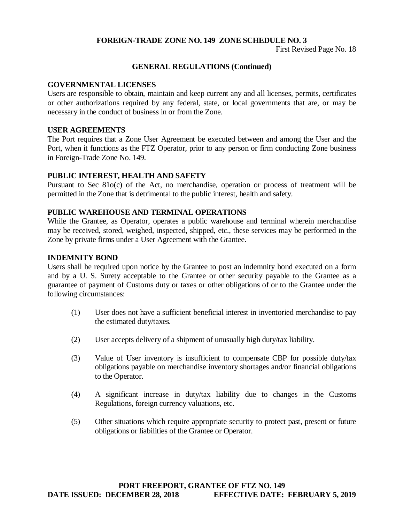First Revised Page No. 18

#### **GENERAL REGULATIONS (Continued)**

#### **GOVERNMENTAL LICENSES**

Users are responsible to obtain, maintain and keep current any and all licenses, permits, certificates or other authorizations required by any federal, state, or local governments that are, or may be necessary in the conduct of business in or from the Zone.

#### **USER AGREEMENTS**

The Port requires that a Zone User Agreement be executed between and among the User and the Port, when it functions as the FTZ Operator, prior to any person or firm conducting Zone business in Foreign-Trade Zone No. 149.

#### **PUBLIC INTEREST, HEALTH AND SAFETY**

Pursuant to Sec 81o(c) of the Act, no merchandise, operation or process of treatment will be permitted in the Zone that is detrimental to the public interest, health and safety.

#### **PUBLIC WAREHOUSE AND TERMINAL OPERATIONS**

While the Grantee, as Operator, operates a public warehouse and terminal wherein merchandise may be received, stored, weighed, inspected, shipped, etc., these services may be performed in the Zone by private firms under a User Agreement with the Grantee.

#### **INDEMNITY BOND**

Users shall be required upon notice by the Grantee to post an indemnity bond executed on a form and by a U. S. Surety acceptable to the Grantee or other security payable to the Grantee as a guarantee of payment of Customs duty or taxes or other obligations of or to the Grantee under the following circumstances:

- (1) User does not have a sufficient beneficial interest in inventoried merchandise to pay the estimated duty/taxes.
- (2) User accepts delivery of a shipment of unusually high duty/tax liability.
- (3) Value of User inventory is insufficient to compensate CBP for possible duty/tax obligations payable on merchandise inventory shortages and/or financial obligations to the Operator.
- (4) A significant increase in duty/tax liability due to changes in the Customs Regulations, foreign currency valuations, etc.
- (5) Other situations which require appropriate security to protect past, present or future obligations or liabilities of the Grantee or Operator.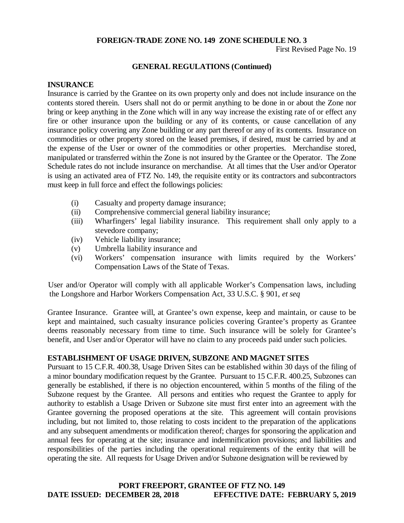First Revised Page No. 19

#### **GENERAL REGULATIONS (Continued)**

#### **INSURANCE**

Insurance is carried by the Grantee on its own property only and does not include insurance on the contents stored therein. Users shall not do or permit anything to be done in or about the Zone nor bring or keep anything in the Zone which will in any way increase the existing rate of or effect any fire or other insurance upon the building or any of its contents, or cause cancellation of any insurance policy covering any Zone building or any part thereof or any of its contents. Insurance on commodities or other property stored on the leased premises, if desired, must be carried by and at the expense of the User or owner of the commodities or other properties. Merchandise stored, manipulated or transferred within the Zone is not insured by the Grantee or the Operator. The Zone Schedule rates do not include insurance on merchandise. At all times that the User and/or Operator is using an activated area of FTZ No. 149, the requisite entity or its contractors and subcontractors must keep in full force and effect the followings policies:

- (i) Casualty and property damage insurance;
- (ii) Comprehensive commercial general liability insurance;
- (iii) Wharfingers' legal liability insurance. This requirement shall only apply to a stevedore company;
- (iv) Vehicle liability insurance;
- (v) Umbrella liability insurance and
- (vi) Workers' compensation insurance with limits required by the Workers' Compensation Laws of the State of Texas.

User and/or Operator will comply with all applicable Worker's Compensation laws, including the Longshore and Harbor Workers Compensation Act, 33 U.S.C. § 901, *et seq*

Grantee Insurance. Grantee will, at Grantee's own expense, keep and maintain, or cause to be kept and maintained, such casualty insurance policies covering Grantee's property as Grantee deems reasonably necessary from time to time. Such insurance will be solely for Grantee's benefit, and User and/or Operator will have no claim to any proceeds paid under such policies.

#### **ESTABLISHMENT OF USAGE DRIVEN, SUBZONE AND MAGNET SITES**

Pursuant to 15 C.F.R. 400.38, Usage Driven Sites can be established within 30 days of the filing of a minor boundary modification request by the Grantee. Pursuant to 15 C.F.R. 400.25, Subzones can generally be established, if there is no objection encountered, within 5 months of the filing of the Subzone request by the Grantee. All persons and entities who request the Grantee to apply for authority to establish a Usage Driven or Subzone site must first enter into an agreement with the Grantee governing the proposed operations at the site. This agreement will contain provisions including, but not limited to, those relating to costs incident to the preparation of the applications and any subsequent amendments or modification thereof; charges for sponsoring the application and annual fees for operating at the site; insurance and indemnification provisions; and liabilities and responsibilities of the parties including the operational requirements of the entity that will be operating the site. All requests for Usage Driven and/or Subzone designation will be reviewed by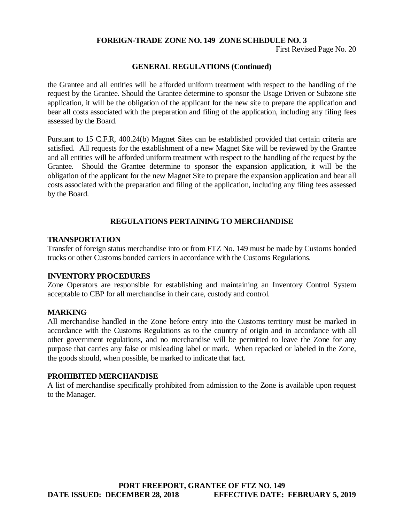First Revised Page No. 20

#### **GENERAL REGULATIONS (Continued)**

the Grantee and all entities will be afforded uniform treatment with respect to the handling of the request by the Grantee. Should the Grantee determine to sponsor the Usage Driven or Subzone site application, it will be the obligation of the applicant for the new site to prepare the application and bear all costs associated with the preparation and filing of the application, including any filing fees assessed by the Board.

Pursuant to 15 C.F.R, 400.24(b) Magnet Sites can be established provided that certain criteria are satisfied. All requests for the establishment of a new Magnet Site will be reviewed by the Grantee and all entities will be afforded uniform treatment with respect to the handling of the request by the Grantee. Should the Grantee determine to sponsor the expansion application, it will be the obligation of the applicant for the new Magnet Site to prepare the expansion application and bear all costs associated with the preparation and filing of the application, including any filing fees assessed by the Board.

#### **REGULATIONS PERTAINING TO MERCHANDISE**

#### **TRANSPORTATION**

Transfer of foreign status merchandise into or from FTZ No. 149 must be made by Customs bonded trucks or other Customs bonded carriers in accordance with the Customs Regulations.

#### **INVENTORY PROCEDURES**

Zone Operators are responsible for establishing and maintaining an Inventory Control System acceptable to CBP for all merchandise in their care, custody and control.

#### **MARKING**

All merchandise handled in the Zone before entry into the Customs territory must be marked in accordance with the Customs Regulations as to the country of origin and in accordance with all other government regulations, and no merchandise will be permitted to leave the Zone for any purpose that carries any false or misleading label or mark. When repacked or labeled in the Zone, the goods should, when possible, be marked to indicate that fact.

#### **PROHIBITED MERCHANDISE**

A list of merchandise specifically prohibited from admission to the Zone is available upon request to the Manager.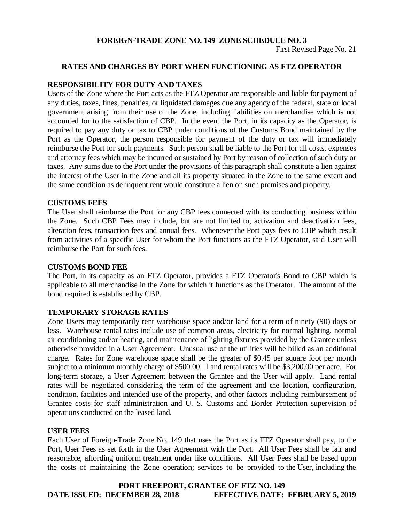First Revised Page No. 21

#### **RATES AND CHARGES BY PORT WHEN FUNCTIONING AS FTZ OPERATOR**

#### **RESPONSIBILITY FOR DUTY AND TAXES**

Users of the Zone where the Port acts as the FTZ Operator are responsible and liable for payment of any duties, taxes, fines, penalties, or liquidated damages due any agency of the federal, state or local government arising from their use of the Zone, including liabilities on merchandise which is not accounted for to the satisfaction of CBP. In the event the Port, in its capacity as the Operator, is required to pay any duty or tax to CBP under conditions of the Customs Bond maintained by the Port as the Operator, the person responsible for payment of the duty or tax will immediately reimburse the Port for such payments. Such person shall be liable to the Port for all costs, expenses and attorney fees which may be incurred or sustained by Port by reason of collection of such duty or taxes. Any sums due to the Port under the provisions of this paragraph shall constitute a lien against the interest of the User in the Zone and all its property situated in the Zone to the same extent and the same condition as delinquent rent would constitute a lien on such premises and property.

#### **CUSTOMS FEES**

The User shall reimburse the Port for any CBP fees connected with its conducting business within the Zone. Such CBP Fees may include, but are not limited to, activation and deactivation fees, alteration fees, transaction fees and annual fees. Whenever the Port pays fees to CBP which result from activities of a specific User for whom the Port functions as the FTZ Operator, said User will reimburse the Port for such fees.

#### **CUSTOMS BOND FEE**

The Port, in its capacity as an FTZ Operator, provides a FTZ Operator's Bond to CBP which is applicable to all merchandise in the Zone for which it functions as the Operator. The amount of the bond required is established by CBP.

#### **TEMPORARY STORAGE RATES**

Zone Users may temporarily rent warehouse space and/or land for a term of ninety (90) days or less. Warehouse rental rates include use of common areas, electricity for normal lighting, normal air conditioning and/or heating, and maintenance of lighting fixtures provided by the Grantee unless otherwise provided in a User Agreement. Unusual use of the utilities will be billed as an additional charge. Rates for Zone warehouse space shall be the greater of \$0.45 per square foot per month subject to a minimum monthly charge of \$500.00. Land rental rates will be \$3,200.00 per acre. For long-term storage, a User Agreement between the Grantee and the User will apply. Land rental rates will be negotiated considering the term of the agreement and the location, configuration, condition, facilities and intended use of the property, and other factors including reimbursement of Grantee costs for staff administration and U. S. Customs and Border Protection supervision of operations conducted on the leased land.

#### **USER FEES**

Each User of Foreign-Trade Zone No. 149 that uses the Port as its FTZ Operator shall pay, to the Port, User Fees as set forth in the User Agreement with the Port. All User Fees shall be fair and reasonable, affording uniform treatment under like conditions. All User Fees shall be based upon the costs of maintaining the Zone operation; services to be provided to the User, including the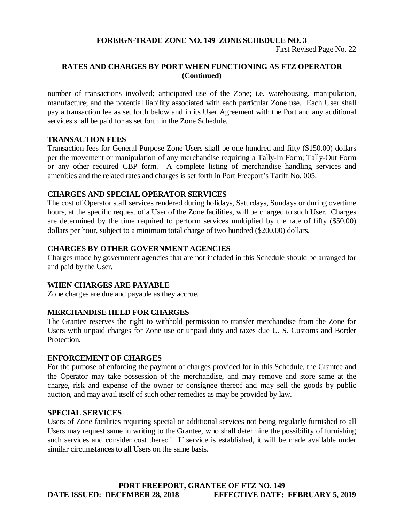First Revised Page No. 22

#### **RATES AND CHARGES BY PORT WHEN FUNCTIONING AS FTZ OPERATOR (Continued)**

number of transactions involved; anticipated use of the Zone; i.e. warehousing, manipulation, manufacture; and the potential liability associated with each particular Zone use. Each User shall pay a transaction fee as set forth below and in its User Agreement with the Port and any additional services shall be paid for as set forth in the Zone Schedule.

#### **TRANSACTION FEES**

Transaction fees for General Purpose Zone Users shall be one hundred and fifty (\$150.00) dollars per the movement or manipulation of any merchandise requiring a Tally-In Form; Tally-Out Form or any other required CBP form. A complete listing of merchandise handling services and amenities and the related rates and charges is set forth in Port Freeport's Tariff No. 005.

#### **CHARGES AND SPECIAL OPERATOR SERVICES**

The cost of Operator staff services rendered during holidays, Saturdays, Sundays or during overtime hours, at the specific request of a User of the Zone facilities, will be charged to such User. Charges are determined by the time required to perform services multiplied by the rate of fifty (\$50.00) dollars per hour, subject to a minimum total charge of two hundred (\$200.00) dollars.

#### **CHARGES BY OTHER GOVERNMENT AGENCIES**

Charges made by government agencies that are not included in this Schedule should be arranged for and paid by the User.

#### **WHEN CHARGES ARE PAYABLE**

Zone charges are due and payable as they accrue.

#### **MERCHANDISE HELD FOR CHARGES**

The Grantee reserves the right to withhold permission to transfer merchandise from the Zone for Users with unpaid charges for Zone use or unpaid duty and taxes due U. S. Customs and Border Protection.

#### **ENFORCEMENT OF CHARGES**

For the purpose of enforcing the payment of charges provided for in this Schedule, the Grantee and the Operator may take possession of the merchandise, and may remove and store same at the charge, risk and expense of the owner or consignee thereof and may sell the goods by public auction, and may avail itself of such other remedies as may be provided by law.

#### **SPECIAL SERVICES**

Users of Zone facilities requiring special or additional services not being regularly furnished to all Users may request same in writing to the Grantee, who shall determine the possibility of furnishing such services and consider cost thereof. If service is established, it will be made available under similar circumstances to all Users on the same basis.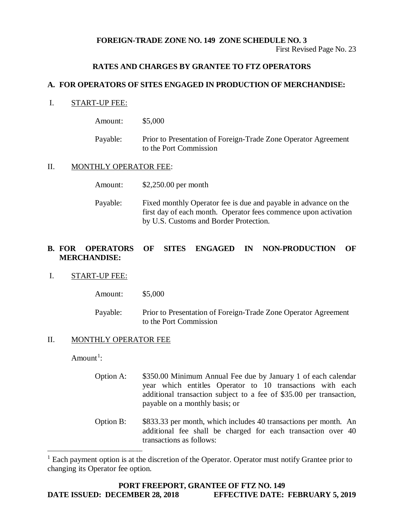First Revised Page No. 23

#### **RATES AND CHARGES BY GRANTEE TO FTZ OPERATORS**

#### **A. FOR OPERATORS OF SITES ENGAGED IN PRODUCTION OF MERCHANDISE:**

#### I. START-UP FEE:

| Amount:  | \$5,000                                                                                  |
|----------|------------------------------------------------------------------------------------------|
| Payable: | Prior to Presentation of Foreign-Trade Zone Operator Agreement<br>to the Port Commission |

#### II. MONTHLY OPERATOR FEE:

| Amount: | $$2,250.00$ per month |
|---------|-----------------------|
|---------|-----------------------|

Payable: Fixed monthly Operator fee is due and payable in advance on the first day of each month. Operator fees commence upon activation by U.S. Customs and Border Protection.

#### **B. FOR OPERATORS OF SITES ENGAGED IN NON-PRODUCTION OF MERCHANDISE:**

#### I. START-UP FEE:

| Amount:  | \$5,000                                                                                  |
|----------|------------------------------------------------------------------------------------------|
| Payable: | Prior to Presentation of Foreign-Trade Zone Operator Agreement<br>to the Port Commission |

#### II. MONTHLY OPERATOR FEE

Amount<sup>[1](#page-23-0)</sup>:

- Option A: \$350.00 Minimum Annual Fee due by January 1 of each calendar year which entitles Operator to 10 transactions with each additional transaction subject to a fee of \$35.00 per transaction, payable on a monthly basis; or
- Option B: \$833.33 per month, which includes 40 transactions per month. An additional fee shall be charged for each transaction over 40 transactions as follows:

<span id="page-23-0"></span><sup>&</sup>lt;sup>1</sup> Each payment option is at the discretion of the Operator. Operator must notify Grantee prior to changing its Operator fee option.